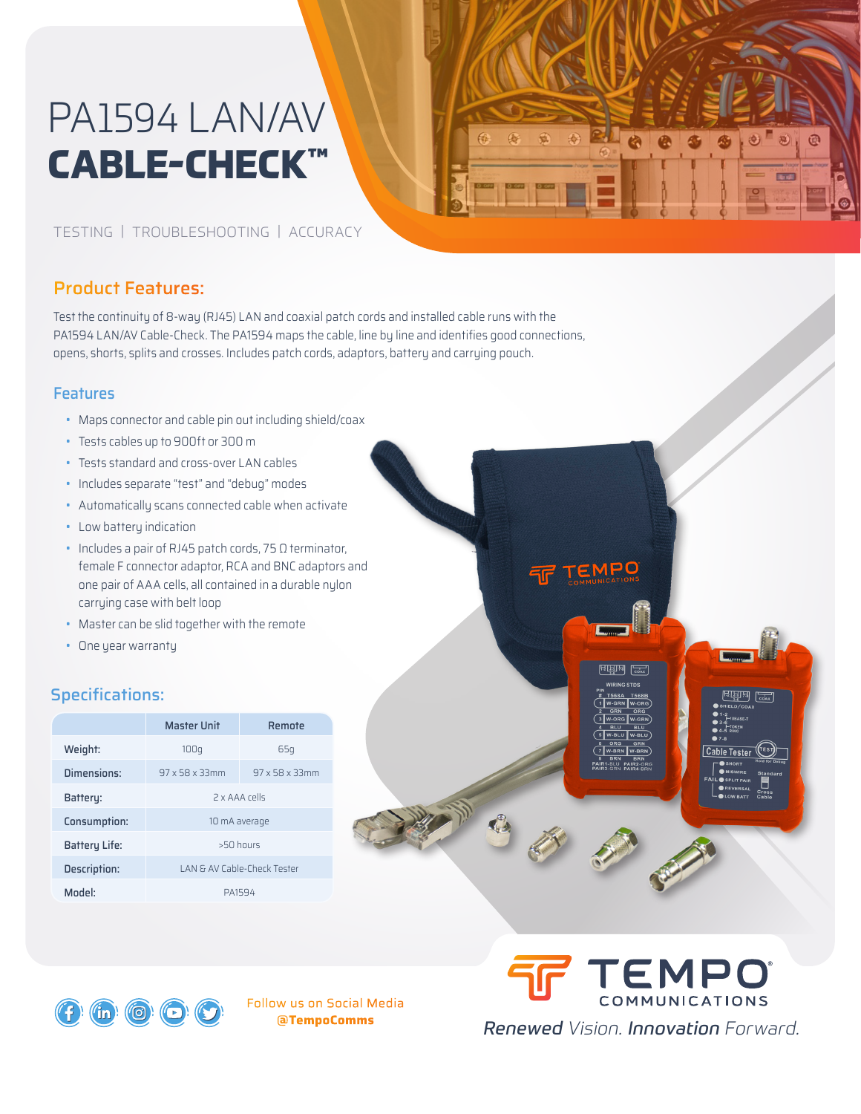# PA1594 LAN/AV **CABLE-CHECK™**

# $\theta$

TEMPO

न्द्राम क्रिय

Cable Tester

## TESTING | TROUBLESHOOTING | ACCURACY

# Product Features:

Test the continuity of 8-way (RJ45) LAN and coaxial patch cords and installed cable runs with the PA1594 LAN/AV Cable-Check. The PA1594 maps the cable, line by line and identifies good connections, opens, shorts, splits and crosses. Includes patch cords, adaptors, battery and carrying pouch.

### **Features**

- Maps connector and cable pin out including shield/coax
- Tests cables up to 900ft or 300 m
- Tests standard and cross-over LAN cables
- Includes separate "test" and "debug" modes
- Automatically scans connected cable when activate
- Low battery indication
- Includes a pair of RJ45 patch cords, 75 Ω terminator, female F connector adaptor, RCA and BNC adaptors and one pair of AAA cells, all contained in a durable nylon carrying case with belt loop
- Master can be slid together with the remote
- One year warranty

# Specifications:

 $\hat{\mathsf{in}}$ 

(ල)

 $\boldsymbol{\Theta}$ 

|                     | Master Unit                 | Remote         |
|---------------------|-----------------------------|----------------|
| Weight:             | 100q                        | 65a            |
| Dimensions:         | 97 x 58 x 33mm              | 97 x 58 x 33mm |
| Battery:            | 2 x AAA rells               |                |
| Consumption:        | 10 mA average               |                |
| Battery Life:       | $>50$ hours                 |                |
| <b>Description:</b> | LAN & AV Cable-Check Tester |                |
| Model:              | PA1594                      |                |



TEMPO COMMUNICATIONS Renewed Vision. Innovation Forward.